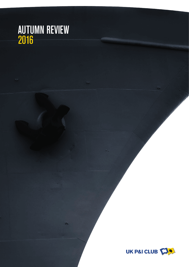# AUTUMN REVIEW 2016

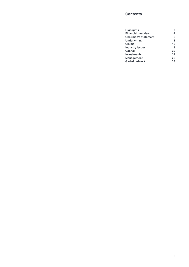### **Contents**

 $\overline{\phantom{a}}$ 

| <b>Highlights</b>         | 2  |
|---------------------------|----|
| <b>Financial overview</b> | 4  |
| Chairman's statement      | 6  |
| Underwriting              | 8  |
| Claims                    | 10 |
| <b>Industry issues</b>    | 18 |
| Capital                   | 20 |
| <b>Investments</b>        | 24 |
| Management                | 26 |
| Global network            | 28 |
|                           |    |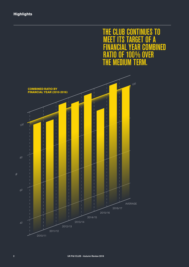# THE CLUB CONTINUES TO<br>MEET ITS TARGET OF A GET OF A<br>\R COMBI *.......*<br>YEAR COMBINED<br>OO% OVER **RATIO OF 100% OVER**<br>THE MEDIUM TERM. **MEDIUM**

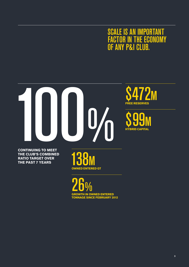# SCALE IS AN IMPORTANT FACTOR IN THE ECONOMY OF ANY P&I CLUB.



**.**<br>REE RESERVES  $2<sub>M</sub>$ 

**CONTINUING TO MEET THE CLUB'S COMBINED RATIO TARGET OVER THE PAST 7 YEARS**

**COWNED ENTERED GT** 

**GROWTH IN OWNED ENTERED TONNAGE SINCE FEBRUARY 2012** 26%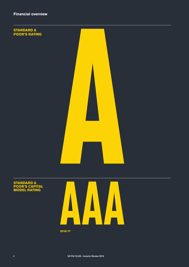

### **STANDARD & POOR'S CAPITAL MODEL RATING**



**2016/17**

4 UK P&I CLUB – Autumn Review 2016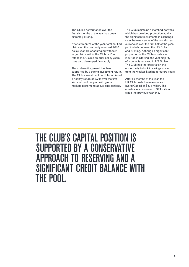The Club's performance over the first six months of the year has been extremely strong.

After six months of the year, total notified claims on the prudently reserved 2016 policy year are encouraging with few large claims within the Club or Pool retentions. Claims on prior policy years have also developed favourably.

The underwriting result has been supported by a strong investment return. The Club's investment portfolio achieved a healthy return of 3.7% over the first six months of the year with global markets performing above expectations.

The Club maintains a matched portfolio which has provided protection against the significant movements in exchange rates between some of the world's key currencies over the first half of the year, particularly between the US Dollar and Sterling. Although a significant proportion of the Club's costs are incurred in Sterling, the vast majority of income is received in US Dollars. The Club has therefore taken the opportunity to lock in savings arising from the weaker Sterling for future years.

After six months of the year, the UK Club holds free reserves and hybrid Capital of \$571 million. This equates to an increase of \$24 million since the previous year end.

THE CLUB'S CAPITAL POSITION IS SUPPORTED BY A CONSERVATIVE APPROACH TO RESERVING AND A SIGNIFICANT CREDIT BALANCE WITH THE POOL.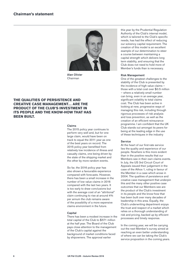

Alan Olivier Chairman

### **THE QUALITIES OF PERSISTENCE AND CREATIVE CASE MANAGEMENT… ARE THE PRODUCT OF THE CLUB'S INVESTMENT IN ITS PEOPLE AND THE KNOW-HOW THAT HAS BEEN BUILT.**

### Claims

The 2015 policy year continues to perform very well and, but for one large claim, would have been on track to equal the 2011 year as one of the best years on record. The 2015 policy year benefited from relatively low incidence of illness and casualty claims, one being driven by the state of the shipping market and the other by more random events.

So far, the 2016 policy year has also shown a favourable experience compared with forecasts. However, there has been a small increase in the number of low value claims in 2016 compared with the last two years. It is too early to draw conclusions but with the average cost of an "attritional" claim continuing to rise at around 4% per annum the club remains aware of the possibility of a more expensive claims environment in the future.

### **Capital**

There has been a modest increase in the total capital of the Club to \$571 million at the half year. The Board of the Club pays close attention to the management of the Club's capital against the background of market conditions faced by shipowners. The approval earlier

this year by the Prudential Regulation Authority of the Club's internal model, which is tailored to the Club's specific needs, has had the effect of reducing our solvency capital requirement. The creation of this model is an excellent example of our determination to steer a course between maintaining a capital strength which delivers long term stability, and ensuring that the Club does not need to hold more of Member's funds than is necessary.

### Risk Management

One of the greatest challenges to the stability of the Club is presented by the incidence of high value claims those with a total cost over \$0.5 million – where a relatively small number can bring, even in an average year, significant volatility to total claims cost. The Club has been active in looking at new, progressive ways of managing this risk, including through rigorous processes of risk analysis and loss prevention, as well as the creation of an efficient reinsurance programme. I am confident that the UK Club stands out amongst its peers for being at the leading edge in the use of these techniques in the industry

### Service

At the heart of our first-rate service lies the quality and experience of our people. Nowhere is this more evident than in the positive results that our Members see in their own claims events. In July, the US 3rd Circuit Court of Appeals issued their judgement in the case of the Athos 1, ruling in favour of the Member in a case which arose in 2004. The qualities of persistence and creative case management that underpin this and the many other positive case outcomes that our Members see are the product of the Club's investment in its people and the know-how that has been built over many decades of leadership in this area. Equally, the Club's underwriting department enjoys the trust and respect of a market which relies on a thorough understanding of risk and pricing, backed up by efficient processes and timely response.

In the coming year, we will be carrying out the next Member's survey aimed at reaching an even better understanding of where we can be taking the Club's service proposition in the coming years.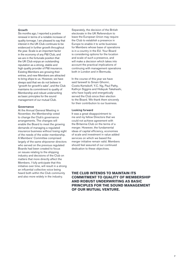### Growth

Six months ago, I reported a positive renewal in terms of a notable increase of quality tonnage. I am pleased to say that interest in the UK Club continues to be evidenced in further growth throughout the year. Scale is an important factor in the economy of any P&I Club, and we are in the fortunate position that the UK Club enjoys an outstanding reputation as a strong, stable and high quality provider of P&I insurance. Existing Members are growing their entries, and new Members are attracted to bring ships to us. However, we have always said that we do not believe in "growth for growth's sake", and the Club maintains its commitment to quality of Membership and robust underwriting as basic principles for the sound management of our mutual Club.

### Governance

At the Annual General Meeting in November, the Membership voted to change the Club's governance arrangements. The changes will enable the Board to meet the growing demands of managing a regulated insurance business without losing sight of the needs of the wider membership. A Members' Committee comprised largely of the same shipowner directors who served on the previous regulated Boards had been created to focus on issues relating to the shipping industry and decisions of the Club on matters that more directly affect the Members. I fully anticipate that this initiative over time, will result in a strong an influential collective voice being heard both within the Club community and also more widely in the industry.

Separately, the decision of the British electorate in the UK Referendum to leave the European Union may require the Club to establish a presence in Europe to enable it to write business for Members whose base of operations is in a country in the EU. Your Board is considering options for the location and scale of such a presence, and will make a decision which takes into account the practical implications of continuing with management operations both in London and in Bermuda.

In the course of this year we have said farewell to Smain Ghomri, Costis Kertsikoff, Y.C. Ng, Paul Pathy, Kathryn Siggins and Hideyuki Takahashi, who have loyally and energetically served the Club since their election to the Board. We thank them sincerely for their contribution to our business.

### Looking forward

It was a great disappointment to me and my fellow Directors that we could not achieve agreement with the Britannia Club on the terms of a merger. However, the fundamental ideas of capital efficiency, economies of scale and investment in value added services on which we based the merger initiative remain valid. Members should feel assured of our continued dedication to these objectives.

### **THE CLUB INTENDS TO MAINTAIN ITS COMMITMENT TO QUALITY OF MEMBERSHIP AND ROBUST UNDERWRITING AS BASIC PRINCIPLES FOR THE SOUND MANAGEMENT OF OUR MUTUAL VENTURE.**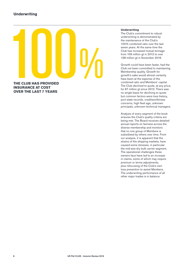

**OVER THE LAST 7 YEARS**

### **Underwriting**

The Club's commitment to robust underwriting is demonstrated by the maintenance of the Club's 100% combined ratio over the last seven years. At the same time the Club has increased mutual tonnage from 109 million at in 2012 to over 138 million gt in November 2016.

Growth could have been faster, had the Club not been committed to maintaining Membership quality. Growth for growth's sake would almost certainly have been at the expense of the combined ratio and Members' capital. The Club declined to quote, at any price, for 67 million gt since 2012. There was no single basis for declining to quote but common factors were loss history, port state records, creditworthiness concerns, high fleet age, unknown principals, unknown technical managers.

Analysis of every segment of the book ensures the Club's quality criteria are being met. The Board receives detailed annual reports on fairness across the diverse membership and monitors that no one group of Members is subsidised by others over time. From our analysis, it is apparent that the strains of the shipping markets, have caused some stresses, in particular the mid-size dry bulk carrier segment. The operational challenges these owners face have led to an increase in claims, some of which may require premium or terms adjustments, plus refocusing of the Club's own loss prevention to assist Members. The underwriting performance of all other major trades is in balance.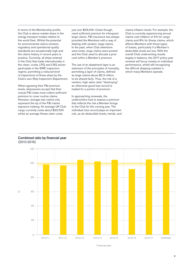In terms of the Membership profile, the Club is above market share in the energy transport trades relative to the world fleet. Whilst the potential for environmental claims remains, regulatory and operational quality standards are exceptionally high and the claims history in recent years is positive. Currently, all ships entered in the Club that trade internationally in the clean, crude, LPG and LNG sector participate in the SIRE inspection regime, permitting a reduced level of inspections of these ships by the Club's own Ship Inspection Department.

When agreeing their P&I premium levels, shipowners accept that their mutual P&I clubs must collect sufficient premium to cover routine claims. However, average size claims only represent the tip of the P&I claims exposure iceberg. An average UK Club cargo currently costs about \$22,500 whilst an average illness claim costs

just over \$29,000. Clubs though, need sufficient premium for infrequent large claims. P&I insurance has always provided the Members with a way of dealing with random, large claims. In the past, when Club retentions were lower, large claims were pooled and the Club used to allocate a pool cost within a Member's premium.

The use of an abatement layer is an extension of the principles of mutuality, permitting a layer of claims, defined as large claims above \$2.5 million, to be shared fairly. Thus, the risk of a random, high value claim "destroying" an otherwise good loss record is traded for a portion of premium.

In approaching renewals, the underwriters look to assess a premium that reflects the risk a Member brings to the Club for the coming year. The individual loss record plays an important role, as do deductible levels, trends, and claims inflation levels. For example, the Club is currently experiencing annual claims cost inflation of 4% for cargo claims and 8% for illness claims, which affects Members with those types of losses, particularly if a Member's deductible levels are low. With the overall Club underwriting results largely in balance, the 2017 policy year renewal will focus closely on individual performance, whilst still recognising the difficult shipping markets in which many Members operate.

Combined ratio by financial year (2010-2016)



Financial year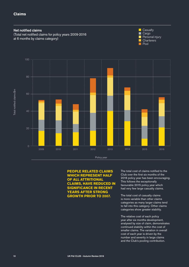### **Claims**



### **PEOPLE RELATED CLAIMS WHICH REPRESENT HALF OF ALL ATTRITIONAL CLAIMS, HAVE REDUCED IN SIGNIFICANCE IN RECENT YEARS AFTER STRONG GROWTH PRIOR TO 2007.**

The total cost of claims notified to the Club over the first six months of the 2016 policy year has been encouraging. This follows the exceptionally favourable 2015 policy year which had very few large casualty claims.

The total cost of casualty claims is more variable than other claims categories as many larger claims tend to fall into this category. Other claims categories show greater stability.

The relative cost of each policy year after six months development, analysed by size of claim, demonstrates continued stability within the cost of smaller claims. The variation in overall cost of each year is driven by the number and severity in large claims and the Club's pooling contribution.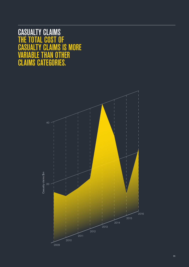# CASUALTY CLAIMS THE TOTAL COST OF CASUALTY CLAIMS IS MORE VARIABLE THAN OTHER CLAIMS CATEGORIES.

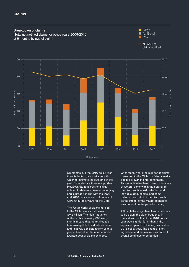

Six months into the 2016 policy year there is limited data available with which to estimate the outcome of the year. Estimates are therefore prudent. However, the total cost of claims notified to date has been encouraging and is broadly in line with the 2009 and 2010 policy years, both of which were favourable years for the Club.

The vast majority of claims notified to the Club have a cost below \$0.5 million. The high frequency of these claims, nearly 300 every month, means that the total cost is less susceptible to individual claims and relatively consistent from year to year unless either the number or the average cost of claims changes.

Over recent years the number of claims presented to the Club has fallen steadily despite growth in entered tonnage. This reduction has been driven by a variety of factors, some within the control of the Club, such as risk selection and individual deductibles, and some outside the control of the Club, such as the impact of the macro-economic environment on the global economy.

Although the longer term trend continues to be down, the claim frequency in the first six months of the 2016 policy year was slightly higher than in the equivalent period of the very favourable 2015 policy year. The change is not significant and the claims environment overall continues to be benign.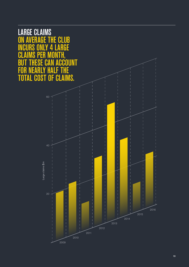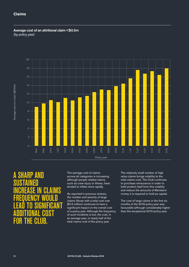### **Claims**

Average cost of an attritional claim <\$0.5m (by policy year)



# $\Lambda$ NIT SUSTAINED INCREASE IN CLAIMS FREQUENCY WOULD LEAD TO SIGNIFICANT ADDITIONAL COST FOR THE CLUB.

The average cost of claims across all categories is increasing although people related claims, such as crew injury or illness, have tended to inflate more rapidly.

As reported in previous reviews, the number and severity of large claims (those with a total cost over \$0.5 million) continues to have a significant impact on the overall cost of a policy year. Although the frequency of such incidents is low, the cost, in an average year, is nearly half of the total claims cost of the policy year.

The relatively small number of high value claims brings volatility to the total claims cost. The Club continues to purchase reinsurance in order to both protect itself from this volatility and reduce the amounts of Members' money it is required to hold as capital.

The cost of large claims in the first six months of the 2016 policy year was favourable although considerably higher than the exceptional 2015 policy year.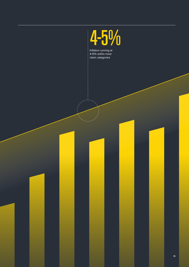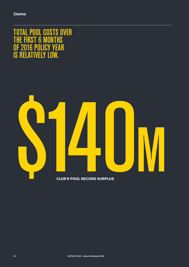TOTAL POOL COSTS OVER THE FIRST 6 MONTHS OF 2016 POLICY YEAR IS RELATIVELY LOW.

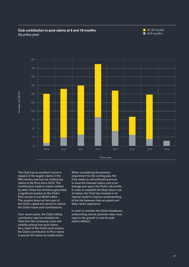### Club contribution to pool claims at 6 and 18 months (by policy year)





The Club has an excellent record in respect of the largest claims in the P&I industry and has not notified any claims to the Pool since 2013. The contributions made to claims notified by other Clubs has therefore generated a significant surplus on the Club's Pool record of over \$140 million. This surplus does not form part of the Club's capital but serves to reduce the Club's future pool contributions.

Over recent years, the Club's falling contribution rate has shielded the Club from the increasing costs and volatility arising from pool claims. As a result of the Club's pool surplus, the Club's contribution to Pool claims is around 4% below its market share.

When considering the premium requirement for the coming year, the Club seeks to call sufficient premium to meet the forecast claims cost of an average year given the Club's risk profile. In order to establish the likely future cost of claims, the Club has invested in its internal model to improve understanding of the link between risks accepted and likely claims experience.

In order to maintain the Club's breakeven underwriting record, premium rates must react to the growth in cost through claims inflation.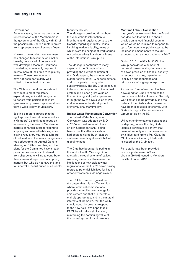### **Governance**

For many years, there has been wide representation of the Membership in the governance of the Club, with 33 of the possible 35 Board directors drawn from representatives of entered fleets.

However, the regulatory environment has changed to favour much smaller boards, comprised of persons with well-developed technical insurance knowledge, increasingly required to devote more of their time to regulatory matters. These developments have not been particularly well suited to the mutual structure.

The Club has therefore considered how best to meet regulatory expectations, while still being able to benefit from participation in its governance by senior representatives from a wide variety of Members.

Existing directors agreed that the right approach would be to introduce a Members' Committee to focus on representing the view of Members on matters of mutual interest relating to shipping and related liabilities, while leaving regulatory matters to a board of reduced size. The new arrangements took effect from the Annual General Meeting on 19th November, and the plans for the Committee have already prompted expressions of interest from ship owners willing to contribute their views and expertise on shipping matters, but who do not have the time to undertake the full duties of a Director.

### Industry Issues

The Managers provided throughout the year website information to Members, and regular reports to the Boards, regarding industry issues involving maritime liability, many of which were the subject of work carried out collaboratively in subcommittees of the International Group (IG).

The Managers contribute to many aspects of the Group's affairs, providing the current chairman of the IG Managers, the chairmen of a number of influential IG subcommittees, and participants in many other subcommittees. The UK Club continues to be a strong supporter of the mutual system and places great value on the continuing ability of ship owners through the IG to have a voice at IMO and to influence the development of international maritime law.

### Ballast Water Management Convention

The Ballast Water Management Convention was adopted by IMO in 2004 and will enter into force on 8th September 2017, being twelve months after ratification had been achieved by at least 30 states representing at least 35% of global tonnage.

The Club has been participating in the work of an IG Working Group to study the requirements of ballast water legislation and to assess the implications of new ballast water regulations for the Club's cover, having regard to potential liabilities for fines or for environmental damage claims.

The UK Club has recognised from the outset that this is a Convention where technical complications provide a compliance challenge for ship owners and that it is therefore entirely appropriate, and in the mutual interests of Members, that the Club should adapt its cover to respond to the new risks. We hope that all IG Clubs will take a similar view, reinforcing the continuing value of the mutual system for ship owners.

### Maritime Labour Convention

Last year's review noted that the Board had decided that the Club should provide enhanced financial security which would be required to respond to up to four months unpaid wages, to be included in amendments to the MLC expected to take effect by January 2017.

During 2016, the IG's MLC Working Group considered a number of technical issues relating to provision of cover, provision of financial security in respect of wages, repatriation liability on abandonment, and reinsurance of aggregate exposure.

A common form of wording has been developed for Clubs to express the terms on which MLC Financial Security Certificates can be provided, and the details of the Certificates themselves have been discussed extensively with States through a Correspondence Group set up by the IG.

Unlike other international conventions in shipping, where the Flag State issues a certificate to confirm that financial security is in place evidenced by a 'blue card' from a P&I Club, the MLC Financial Security Certificate is issued by the Club itself.

Full details have been provided in a comprehensive FAQ and circular (16/16) issued to Members on 7th October 2016.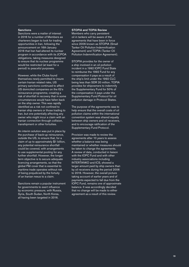### **Sanctions**

Sanctions were a matter of interest in 2016 for a number of Members as charterers began to look for trading opportunities in Iran, following the announcement on 16th January 2016 that Iran had altered its nuclear program in accordance with its JCPOA obligations, taking measures designed to ensure that its nuclear programme would be restricted (at least for a period) to peaceful purposes.

However, while the Clubs found themselves newly permitted to insure certain Iranian related risks, US primary sanctions continued to affect US domiciled companies on the IG's reinsurance programme, creating a risk of shortfall in recovery that in some circumstances would have fallen back on the ship owner. This was rapidly identified as a risk not confined to Iranian ship owners or those trading to Iran, but one potentially affecting any owner who might incur a claim with an Iranian connection through collision, transhipment or other fortuities.

An interim solution was put in place by the purchase of back-up reinsurance, outside the US, to ensure that, for a claim of up to approximately \$1 billion, any potential reinsurance shortfall could be covered, with arrangements to use supplemental pooling for any further shortfall. However, the longer term objective is to secure adequate licencing arrangements, so that the global P&I cover that is essential to maritime trade operates without risk of being prejudiced by the fortuity of an Iranian nexus to a claim.

Sanctions remain a popular instrument for governments to exert influence by economic pressure, with Russia, Syria, South Sudan, North Korea, all having been targeted in 2016.

### STOPIA and TOPIA Review

Members who carry persistent oil in tankers will be aware of the agreements that have been in force since 2006 known as STOPIA (Small Tanker Oil Pollution Indemnification Agreement) and TOPIA (Tanker Oil Pollution Indemnification Agreement).

STOPIA provides for the owner of a ship involved in an oil pollution incident in a 1992 IOPC Fund State to reimburse the 1992 Fund for any compensation it pays as a result of the ship's limit under the 1992 CLC being less than SDR 20 million. TOPIA provides for shipowners to indemnify .<br>the Supplementary Fund for 50% of the compensation it pays under the Supplementary Fund Protocol for oil pollution damage in Protocol States.

The purpose of the agreements was to help ensure that the overall costs of oil pollution claims within the international convention system was shared equally between ship owners and oil receivers, and to encourage ratification of the Supplementary Fund Protocol.

Provision was made to review the agreements after 10 years to assess whether a balance was being maintained or whether measures should be taken to change the agreements. A review of data, conducted in liaison with the IOPC Fund and with other industry associations including INTERTANKO and ICS, showed a larger amount paid by ship owners than by oil receivers during the period 2006 to 2016. However, the overall picture taking account of earlier years and of payments expected to fall due from the IOPC Fund, remains one of approximate balance. It was accordingly decided that no change will be made to either agreement as a result of this review.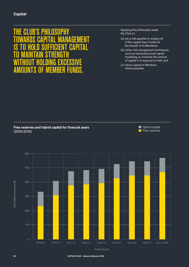# THE CLUB'S PHILOSOPHY **GEMENT GAPITA** TO MAINTAIN STRENGTH WITHOUT HOLDING EXCESSIVE **S OF MEMBER FUNDS.**

Applying this philosophy leads the Club to:

- (a) set a risk appetite to employ all of the capital that it holds for the benefit of its Members;
- (b) utilise risk management techniques, such as reinsurance and capital modelling, to minimise the amount of capital it is required to hold; and
- (c) return capital to Members where possible.

### Free reserves and hybrid capital for financial years (2009-2016)

Hybrid capital  $\blacksquare$  Free reserves



Financial year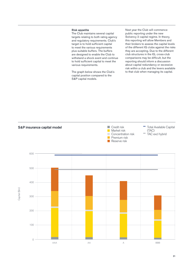### Risk appetite

The Club maintains several capital targets relating to both rating agency and regulatory requirements. Club's target is to hold sufficient capital to meet the various requirements plus suitable buffers. The buffers are designed to enable the Club to withstand a shock event and continue to hold sufficient capital to meet the various requirements.

The graph below shows the Club's capital position compared to the S&P capital models.

Next year the Club will commence public reporting under the new Solvency 2 capital regime. In theory, this reporting will allow Members and their brokers to assess the capital levels of the different IG clubs against the risks they are accepting. Due to the different club structures in the IG, cross-club comparisons may be difficult, but the reporting should inform a discussion about capital redundancy or excessive risk within a club and the levers available to that club when managing its capital.

Total Available Capital



**Credit risk** 

AAA AA A BBB

S&P insurance capital model

 $\overline{O}$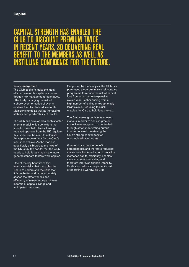# **IL STRENGTH HAS ENABLED** CLUB TO DISCOUNT PREMIUM TWICE IN RECENT YEARS, SO DELIVERING REAL BENEFIT TO THE MEMBERS AS WELL AS INSTILLING CONFIDENCE FOR THE FUTURE.

### Risk management

The Club seeks to make the most efficient use of its capital resources through risk management techniques. Effectively managing the risk of a shock event or series of events enables the Club to hold less of its Member's funds as well as increasing stability and predictability of results.

The Club has developed a sophisticated internal model which considers the specific risks that it faces. Having received approval from the UK regulator, this model can be used to calculate the capital requirement for the Club's insurance vehicle. As the model is specifically calibrated to the risks of the UK Club, the capital that the Club needs to hold is less than if the more general standard factors were applied.

One of the key benefits of this internal model is that it enables the Board to understand the risks that it faces better and more accurately assess the effectiveness and efficiency of reinsurance purchases in terms of capital savings and anticipated net spend.

Supported by this analysis, the Club has purchased a comprehensive reinsurance programme to reduce the risk of capital loss from an extremely expensive claims year – either arising from a high number of claims or exceptionally large claims. Reducing this risk enables the Club to hold less capital.

The Club seeks growth in its chosen markets in order to achieve greater scale. However, growth is controlled through strict underwriting criteria in order to avoid threatening the Club's strong capital position or combined ratio targets.

Greater scale has the benefit of spreading risk and therefore reducing claims volatility. A reduction in volatility increases capital efficiency, enables more accurate forecasting and therefore improves financial stability. Scale also reduces the per-unit cost of operating a worldwide Club.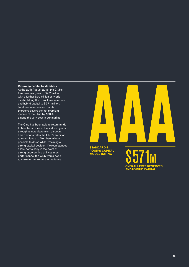### Returning capital to Members

At the 20th August 2016, the Club's free reserves grew to \$472 million with a further \$99 million of hybrid capital taking the overall free reserves and hybrid capital to \$571 million. Total free reserves and capital therefore covers the net premium income of the Club by 188%, among the very best in our market.

The Club has been able to return funds to Members twice in the last four years through a mutual premium discount. This demonstrates the Club's ambition to return funds to Members where possible to do so while, retaining a strong capital position. If circumstances allow, particularly in the event of strong underwriting or investment performance, the Club would hope to make further returns in the future.

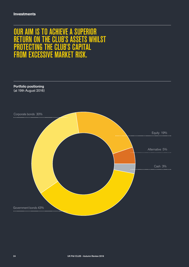# OUR AIM IS TO ACHIEVE A SUPERIOR RETURN ON THE CLUB'S ASSETS WHILST PROTECTING THE CLUB'S CAPITAL FROM EXCESSIVE MARKET RISK.

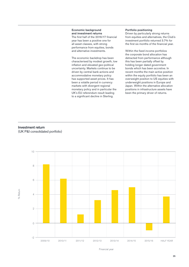### Economic background and investment returns

The first half of the 2016/17 financial year has been a positive one for all asset classes, with strong performance from equities, bonds and alternative investments.

The economic backdrop has been characterised by modest growth, low inflation and elevated geo-political uncertainty. Markets continue to be driven by central bank actions and accommodative monetary policy has supported asset prices. It has been a volatile period in currency markets with divergent regional monetary policy and in particular the UK's EU referendum result leading to a significant decline in Sterling.

### Portfolio positioning

Driven by particularly strong returns from equities and alternatives, the Club's investment portfolio returned 3.7% for the first six months of the financial year.

Within the fixed income portfolios the corporate bond allocation has detracted from performance although this has been partially offset by holding longer dated government bonds which has been accretive. In recent months the main active position within the equity portfolio has been an overweight position to US equities with underweight positions in Europe and Japan. Within the alternative allocation positions in infrastructure assets have been the primary driver of returns.

### Investment return (UK P&I consolidated portfolio)

% Return



Financial year

25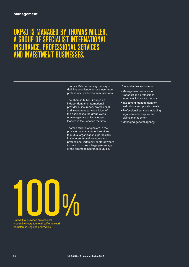# UKP&I IS MANAGED BY THOMAS MILLER, OF SPECIALIST INTERNATION SERVICES **INVESTMENT BUSINESSES**

Thomas Miller is leading the way in defining excellence across insurance, professional and investment services.

The Thomas Miller Group is an independent and international provider of insurance, professional and investment services. Most of the businesses the group owns or manages are acknowledged leaders in their chosen markets.

Thomas Miller's origins are in the provision of management services to mutual organisations, particularly in the international transport and professional indemnity sectors; where today it manages a large percentage of the foremost insurance mutuals.

Principal activities include:

- Management services for transport and professional indemnity insurance mutuals
- Investment management for institutions and private clients
- Professional services including legal services, captive and claims management
- Managing general agency.

Bar Mutual provides professional<br>
indemnity insurance to all self employed

Bar Mutual provides professional indemnity insurance to all self employed barristers in England and Wales.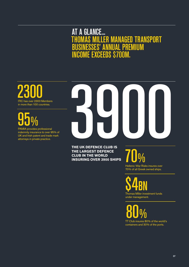# **AT A GLANCE...** THOMAS MILLER MANAGED TRANSPORT BUSINESSES' ANNUAL PREMIUM INCOME EXCEEDS \$700M.

2300 Members in more than 100 countries.

# $95\%$ <br>PAMIA provides professional

indemnity insurance to over 95% of UK and Irish patent and trade mark attorneys in private practice.

# THE UK DEFENCE CLUB IS<br>THE LARGEST DEFENCE

**THE UK DEFENCE CLUB IS THE LARGEST DEFENCE CLUB IN THE WORLD INSURING OVER 3900 SHIPS**

Hellenic War Risks insures over **70%** 

70% of all Greek owned ships.

 $\underset{\text{Thomas Miller investment funds}}{\text{S}}$ under management.

TT Club insures 80% of the world's 80% containers and 30% of the ports.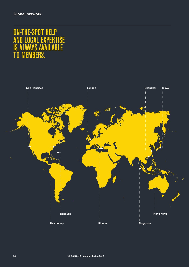# ON-THE-SPOT HELP TUT HEEL<br>AL EXPERTISE<br>S AVAII ARI F **AVAILABLE MEMBERS.**